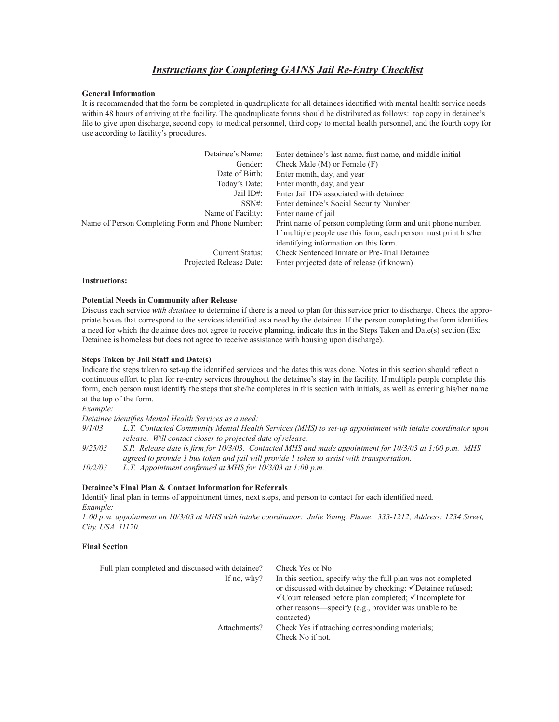# *Instructions for Completing GAINS Jail Re-Entry Checklist*

### **General Information**

It is recommended that the form be completed in quadruplicate for all detainees identified with mental health service needs within 48 hours of arriving at the facility. The quadruplicate forms should be distributed as follows: top copy in detainee's file to give upon discharge, second copy to medical personnel, third copy to mental health personnel, and the fourth copy for use according to facility's procedures.

| Detainee's Name:                                 | Enter detainee's last name, first name, and middle initial       |  |  |  |  |  |
|--------------------------------------------------|------------------------------------------------------------------|--|--|--|--|--|
| Gender:                                          | Check Male $(M)$ or Female $(F)$                                 |  |  |  |  |  |
| Date of Birth:                                   | Enter month, day, and year                                       |  |  |  |  |  |
| Today's Date:                                    | Enter month, day, and year                                       |  |  |  |  |  |
| Jail ID#:                                        | Enter Jail ID# associated with detainee                          |  |  |  |  |  |
| $SSN\#$ :                                        | Enter detainee's Social Security Number                          |  |  |  |  |  |
| Name of Facility:                                | Enter name of jail                                               |  |  |  |  |  |
| Name of Person Completing Form and Phone Number: | Print name of person completing form and unit phone number.      |  |  |  |  |  |
|                                                  | If multiple people use this form, each person must print his/her |  |  |  |  |  |
|                                                  | identifying information on this form.                            |  |  |  |  |  |
| Current Status:                                  | Check Sentenced Inmate or Pre-Trial Detainee                     |  |  |  |  |  |
| Projected Release Date:                          | Enter projected date of release (if known)                       |  |  |  |  |  |

#### **Instructions:**

### **Potential Needs in Community after Release**

Discuss each service *with detainee* to determine if there is a need to plan for this service prior to discharge. Check the appropriate boxes that correspond to the services identified as a need by the detainee. If the person completing the form identifies a need for which the detainee does not agree to receive planning, indicate this in the Steps Taken and Date(s) section (Ex: Detainee is homeless but does not agree to receive assistance with housing upon discharge).

#### **Steps Taken by Jail Staff and Date(s)**

Indicate the steps taken to set-up the identified services and the dates this was done. Notes in this section should reflect a continuous effort to plan for re-entry services throughout the detainee's stay in the facility. If multiple people complete this form, each person must identify the steps that she/he completes in this section with initials, as well as entering his/her name at the top of the form.

*Example:*

Detainee identifies Mental Health Services as a need:

- *9/1/03 L.T. Contacted Community Mental Health Services (MHS) to set-up appointment with intake coordinator upon release. Will contact closer to projected date of release.*
- 9/25/03 S.P. Release date is firm for 10/3/03. Contacted MHS and made appointment for 10/3/03 at 1:00 p.m. MHS *agreed to provide 1 bus token and jail will provide 1 token to assist with transportation.*

*10/2/03 L.T. Appointment confirmed at MHS for 10/3/03 at 1:00 p.m.* 

#### **Detainee's Final Plan & Contact Information for Referrals**

Identify final plan in terms of appointment times, next steps, and person to contact for each identified need. *Example:*

*1:00 p.m. appointment on 10/3/03 at MHS with intake coordinator: Julie Young. Phone: 333-1212; Address: 1234 Street, City, USA 11120.*

## **Final Section**

| Full plan completed and discussed with detainee? | Check Yes or No                                                                                                                                                                                                                                                        |
|--------------------------------------------------|------------------------------------------------------------------------------------------------------------------------------------------------------------------------------------------------------------------------------------------------------------------------|
| If no, why?                                      | In this section, specify why the full plan was not completed<br>or discussed with detainee by checking: ✓Detainee refused;<br>$\checkmark$ Court released before plan completed; $\checkmark$ Incomplete for<br>other reasons—specify (e.g., provider was unable to be |
| Attachments?                                     | contacted)<br>Check Yes if attaching corresponding materials.<br>Check No if not.                                                                                                                                                                                      |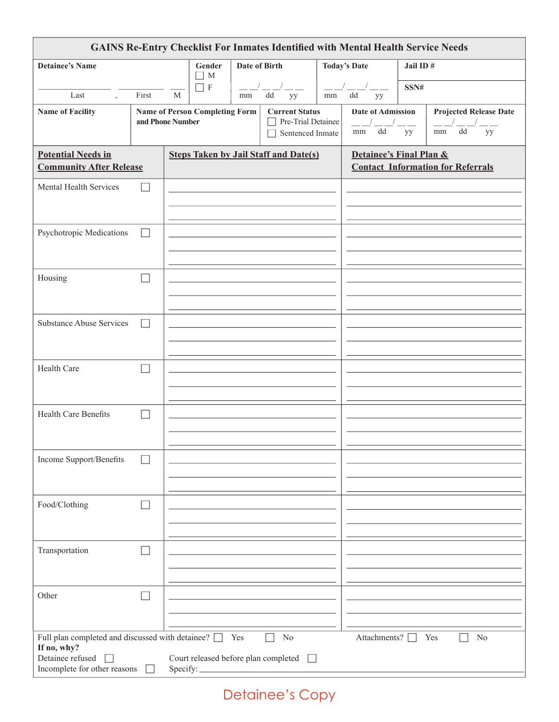| <b>GAINS Re-Entry Checklist For Inmates Identified with Mental Health Service Needs</b>                                    |                  |                                     |                                              |                     |                                                                        |                         |                                      |                                          |                                              |
|----------------------------------------------------------------------------------------------------------------------------|------------------|-------------------------------------|----------------------------------------------|---------------------|------------------------------------------------------------------------|-------------------------|--------------------------------------|------------------------------------------|----------------------------------------------|
| <b>Detainee's Name</b>                                                                                                     |                  | Date of Birth<br>Gender<br>$\Box$ M |                                              | <b>Today's Date</b> | Jail ID#                                                               |                         |                                      |                                          |                                              |
| Last                                                                                                                       | First            | M                                   | ПF                                           | mm                  | dd<br>yy                                                               | $-1$<br>mm              | $-1$ $-$<br>dd<br>yy                 | SSN#                                     |                                              |
| <b>Name of Facility</b>                                                                                                    | and Phone Number |                                     | <b>Name of Person Completing Form</b>        |                     | <b>Current Status</b><br>$\Box$ Pre-Trial Detainee<br>Sentenced Inmate |                         | <b>Date of Admission</b><br>dd<br>mm | yy                                       | <b>Projected Release Date</b><br>mm dd<br>yy |
| <b>Potential Needs in</b><br><b>Community After Release</b>                                                                |                  |                                     | <b>Steps Taken by Jail Staff and Date(s)</b> |                     |                                                                        | Detainee's Final Plan & |                                      | <b>Contact Information for Referrals</b> |                                              |
| Mental Health Services                                                                                                     |                  |                                     |                                              |                     |                                                                        |                         |                                      |                                          |                                              |
| Psychotropic Medications                                                                                                   |                  |                                     |                                              |                     |                                                                        |                         |                                      |                                          |                                              |
| Housing                                                                                                                    |                  |                                     |                                              |                     |                                                                        |                         |                                      |                                          |                                              |
| <b>Substance Abuse Services</b>                                                                                            |                  |                                     |                                              |                     |                                                                        |                         |                                      |                                          |                                              |
| Health Care                                                                                                                |                  |                                     |                                              |                     |                                                                        |                         |                                      |                                          |                                              |
| <b>Health Care Benefits</b>                                                                                                |                  |                                     |                                              |                     |                                                                        |                         |                                      |                                          |                                              |
| Income Support/Benefits                                                                                                    |                  |                                     |                                              |                     |                                                                        |                         |                                      |                                          |                                              |
| Food/Clothing                                                                                                              |                  |                                     |                                              |                     |                                                                        |                         |                                      |                                          |                                              |
| Transportation                                                                                                             |                  |                                     |                                              |                     |                                                                        |                         |                                      |                                          |                                              |
| Other                                                                                                                      |                  |                                     |                                              |                     |                                                                        |                         |                                      |                                          |                                              |
| Full plan completed and discussed with detainee? $\Box$<br>If no, why?<br>Detainee refused<br>Incomplete for other reasons |                  | Specify:                            |                                              | Yes                 | N <sub>0</sub><br>Court released before plan completed<br>$\Box$       |                         | Attachments?                         |                                          | N <sub>0</sub><br>Yes                        |

Detainee's Copy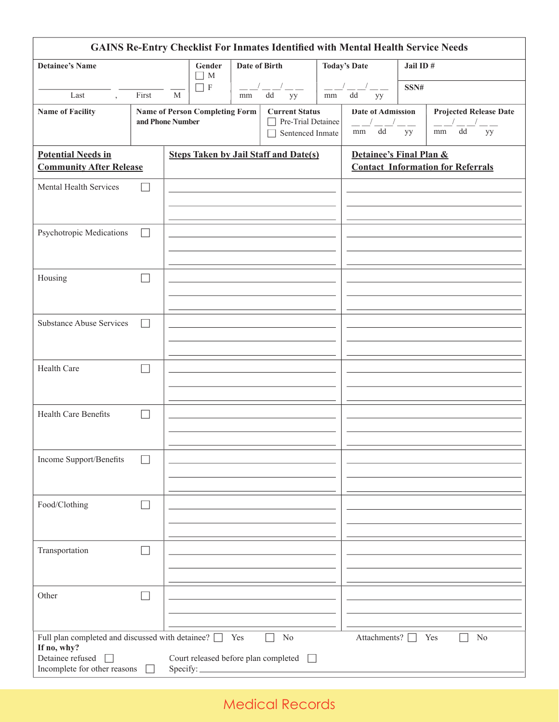| <b>GAINS Re-Entry Checklist For Inmates Identified with Mental Health Service Needs</b>    |                  |              |                                            |     |                                                                           |    |                                                 |          |                                                                     |
|--------------------------------------------------------------------------------------------|------------------|--------------|--------------------------------------------|-----|---------------------------------------------------------------------------|----|-------------------------------------------------|----------|---------------------------------------------------------------------|
| <b>Detainee's Name</b>                                                                     |                  |              | Gender<br><b>Date of Birth</b><br>$\Box$ M |     |                                                                           |    | <b>Today's Date</b>                             | Jail ID# |                                                                     |
| Last<br>$\overline{ }$                                                                     | First            | $\mathbf{M}$ | $\sqsupset$ F                              | mm  | dd<br>yy                                                                  | mm | $\overline{\phantom{a}}$<br>dd<br>yy            | SSN#     |                                                                     |
| <b>Name of Facility</b>                                                                    | and Phone Number |              | <b>Name of Person Completing Form</b>      |     | <b>Current Status</b><br>Pre-Trial Detainee<br>$\Box$<br>Sentenced Inmate |    | <b>Date of Admission</b><br>$\mathrm{dd}$<br>mm | yy       | <b>Projected Release Date</b><br>$\mathrm{d}\mathrm{d}$<br>mm<br>yy |
| <b>Potential Needs in</b><br><b>Community After Release</b>                                |                  |              |                                            |     | <b>Steps Taken by Jail Staff and Date(s)</b>                              |    | Detainee's Final Plan &                         |          | <b>Contact Information for Referrals</b>                            |
| Mental Health Services                                                                     |                  |              |                                            |     |                                                                           |    |                                                 |          |                                                                     |
| Psychotropic Medications                                                                   |                  |              |                                            |     |                                                                           |    |                                                 |          |                                                                     |
| Housing                                                                                    |                  |              |                                            |     |                                                                           |    |                                                 |          |                                                                     |
| <b>Substance Abuse Services</b>                                                            |                  |              |                                            |     |                                                                           |    |                                                 |          |                                                                     |
| Health Care                                                                                |                  |              |                                            |     |                                                                           |    |                                                 |          |                                                                     |
| <b>Health Care Benefits</b>                                                                |                  |              |                                            |     |                                                                           |    |                                                 |          |                                                                     |
| Income Support/Benefits                                                                    |                  |              |                                            |     |                                                                           |    |                                                 |          |                                                                     |
| Food/Clothing                                                                              |                  |              |                                            |     |                                                                           |    |                                                 |          |                                                                     |
| Transportation                                                                             |                  |              |                                            |     |                                                                           |    |                                                 |          |                                                                     |
| Other                                                                                      |                  |              |                                            |     |                                                                           |    |                                                 |          |                                                                     |
| Full plan completed and discussed with detainee? $\Box$<br>If no, why?<br>Detainee refused |                  |              |                                            | Yes | No<br>Court released before plan completed                                |    | Attachments? [                                  |          | N <sub>0</sub><br>Yes                                               |
| Incomplete for other reasons                                                               |                  | Specify:     |                                            |     |                                                                           |    |                                                 |          |                                                                     |

# Medical Records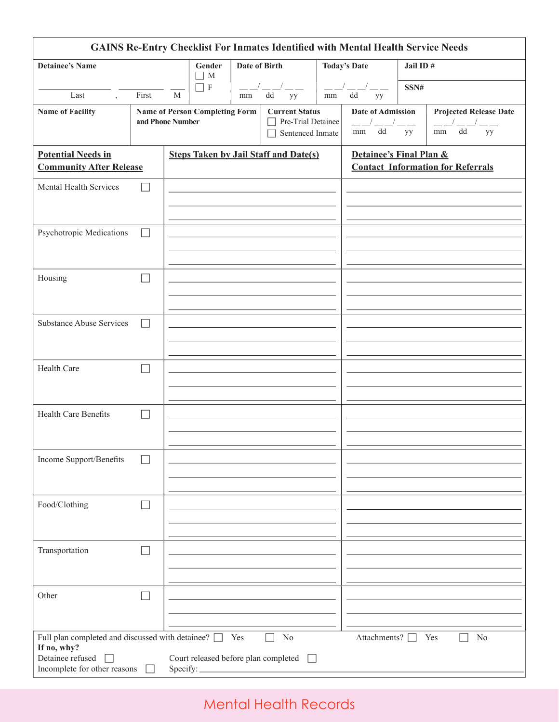| <b>GAINS Re-Entry Checklist For Inmates Identified with Mental Health Service Needs</b> |       |                                                                                                                                        |               |     |                                              |                     |                                                 |      |                                                                     |
|-----------------------------------------------------------------------------------------|-------|----------------------------------------------------------------------------------------------------------------------------------------|---------------|-----|----------------------------------------------|---------------------|-------------------------------------------------|------|---------------------------------------------------------------------|
| <b>Detainee's Name</b>                                                                  |       | Gender<br><b>Date of Birth</b><br>$\Box$ M                                                                                             |               |     |                                              | <b>Today's Date</b> | Jail ID#                                        |      |                                                                     |
| Last<br>$\overline{ }$                                                                  | First | $\mathbf{M}$                                                                                                                           | $\sqsupset$ F | mm  | dd<br>yy                                     | mm                  | $\overline{\phantom{a}}$<br>dd<br>yy            | SSN# |                                                                     |
| <b>Name of Facility</b>                                                                 |       | <b>Name of Person Completing Form</b><br><b>Current Status</b><br>Pre-Trial Detainee<br>and Phone Number<br>$\Box$<br>Sentenced Inmate |               |     |                                              |                     | <b>Date of Admission</b><br>$\mathrm{dd}$<br>mm | yy   | <b>Projected Release Date</b><br>$\mathrm{d}\mathrm{d}$<br>mm<br>yy |
| <b>Potential Needs in</b><br><b>Community After Release</b>                             |       |                                                                                                                                        |               |     | <b>Steps Taken by Jail Staff and Date(s)</b> |                     | Detainee's Final Plan &                         |      | <b>Contact Information for Referrals</b>                            |
| Mental Health Services                                                                  |       |                                                                                                                                        |               |     |                                              |                     |                                                 |      |                                                                     |
| Psychotropic Medications                                                                |       |                                                                                                                                        |               |     |                                              |                     |                                                 |      |                                                                     |
| Housing                                                                                 |       |                                                                                                                                        |               |     |                                              |                     |                                                 |      |                                                                     |
| <b>Substance Abuse Services</b>                                                         |       |                                                                                                                                        |               |     |                                              |                     |                                                 |      |                                                                     |
| Health Care                                                                             |       |                                                                                                                                        |               |     |                                              |                     |                                                 |      |                                                                     |
| <b>Health Care Benefits</b>                                                             |       |                                                                                                                                        |               |     |                                              |                     |                                                 |      |                                                                     |
| Income Support/Benefits                                                                 |       |                                                                                                                                        |               |     |                                              |                     |                                                 |      |                                                                     |
| Food/Clothing                                                                           |       |                                                                                                                                        |               |     |                                              |                     |                                                 |      |                                                                     |
| Transportation                                                                          |       |                                                                                                                                        |               |     |                                              |                     |                                                 |      |                                                                     |
| Other                                                                                   |       |                                                                                                                                        |               |     |                                              |                     |                                                 |      |                                                                     |
| Full plan completed and discussed with detainee? $\Box$<br>If no, why?                  |       |                                                                                                                                        |               | Yes | No                                           |                     | Attachments? [                                  |      | N <sub>0</sub><br>Yes                                               |
| Detainee refused<br>Incomplete for other reasons                                        |       | Specify:                                                                                                                               |               |     | Court released before plan completed         |                     |                                                 |      |                                                                     |

# Mental Health Records